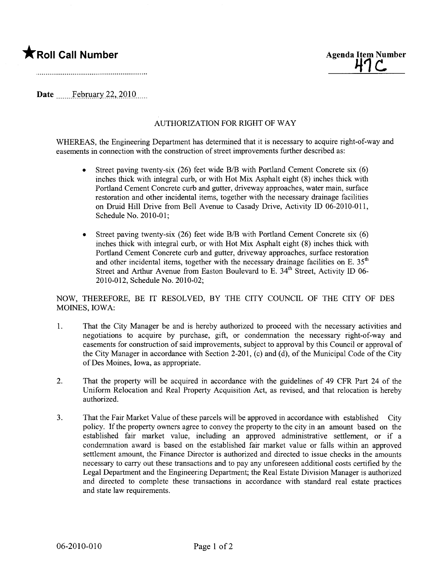## **\*** Roll Call Number Agenda Item Number



Date February 22, 2010 $\ldots$ 

## AUTHORIZATION FOR RIGHT OF WAY

WHEREAS, the Engineering Department has determined that it is necessary to acquire right-of-way and easements in connection with the construction of street improvements further described as:

- Street paving twenty-six (26) feet wide B/B with Portland Cement Concrete six (6) inches thick with integral curb, or with Hot Mix Asphalt eight (8) inches thick with Portland Cement Concrete curb and gutter, driveway approaches, water main, surface restoration and other incidental items, together with the necessary drainage facilities on Druid Hill Drive from Bell Avenue to Casady Drive, Activity ID 06-2010-011, Schedule No. 2010-01;
- . Street paving twenty-six (26) feet wide BIB with Portland Cement Concrete six (6) inches thick with integral curb, or with Hot Mix Asphalt eight (8) inches thick with Portland Cement Concrete curb and gutter, driveway approaches, surface restoration and other incidental items, together with the necessary drainage facilities on E.  $35<sup>th</sup>$ Street and Arthur Avenue from Easton Boulevard to E. 34<sup>th</sup> Street, Activity ID 06-2010-012, Schedule No. 2010-02;

NOW, THEREFORE, BE IT RESOLVED, BY THE CITY COUNCIL OF THE CITY OF DES MOINES, IOWA:

- 1. That the City Manager be and is hereby authorized to proceed with the necessary activities and negotiations to acquire by purchase, gift, or condemnation the necessary right-of-way and easements for construction of said improvements, subject to approval by this Council or approval of the City Manager in accordance with Section 2-201, (c) and (d), of the Municipal Code of the City of Des Moines, Iowa, as appropriate.
- 2. That the property will be acquired in accordance with the guidelines of 49 CFR Part 24 of the Uniform Relocation and Real Property Acquisition Act, as revised, and that relocation is hereby authorized.
- 3. That the Fair Market Value of these parcels will be approved in accordance with established City policy. If the property owners agree to convey the property to the city in an amount based on the established fair market value, including an approved administrative settlement, or if a condemnation award is based on the established fair market value or falls within an approved settlement amount, the Finance Director is authorized and directed to issue checks in the amounts necessary to carry out these transactions and to pay any unforeseen additional costs certified by the Legal Department and the Engineering Department; the Real Estate Division Manager is authorized and directed to complete these transactions in accordance with standard real estate practices and state law requirements.